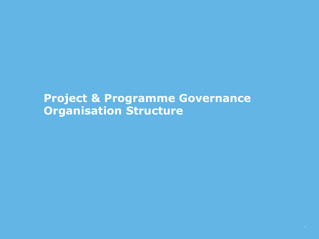## **Project & Programme Governance Organisation Structure**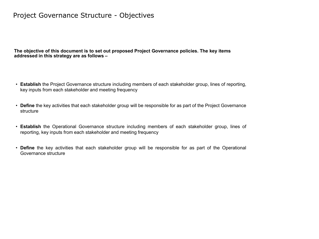### Project Governance Structure - Objectives

**The objective of this document is to set out proposed Project Governance policies. The key items addressed in this strategy are as follows –**

- **Establish** the Project Governance structure including members of each stakeholder group, lines of reporting, key inputs from each stakeholder and meeting frequency
- **Define** the key activities that each stakeholder group will be responsible for as part of the Project Governance structure
- **Establish** the Operational Governance structure including members of each stakeholder group, lines of reporting, key inputs from each stakeholder and meeting frequency
- **Define** the key activities that each stakeholder group will be responsible for as part of the Operational Governance structure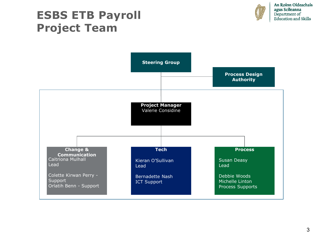# **ESBS ETB Payroll Project Team**



An Roinn Oideachais agus Scileanna Department of<br>Education and Skills

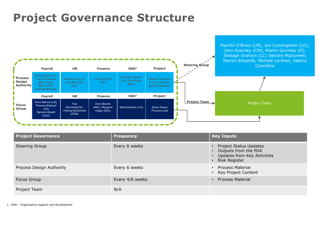# **Project Governance Structure**



| <b>Project Governance</b> | <b>Frequency</b> | <b>Key Inputs</b>                                                                                |
|---------------------------|------------------|--------------------------------------------------------------------------------------------------|
| <b>Steering Group</b>     | Every 6 weeks    | Project Status Updates<br>• Outputs from the PDA<br>Updates from Key Activities<br>Risk Register |
| Process Design Authority  | Every 6 weeks    | • Process Material<br>• Key Project Content                                                      |
| Focus Group               | Every 4/6 weeks  | • Process Material                                                                               |
| Project Team              | N/A              |                                                                                                  |

1. OSD - Organisation support and development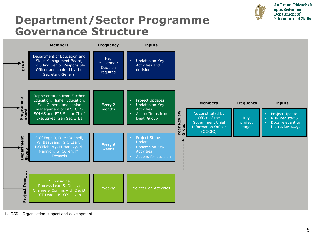

An Roinn Oideachais agus Scileanna Department of Education and Skills

# **Department/Sector Programme Governance Structure**



1. OSD - Organisation support and development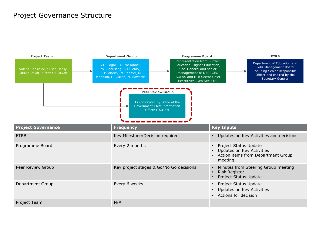### Project Governance Structure

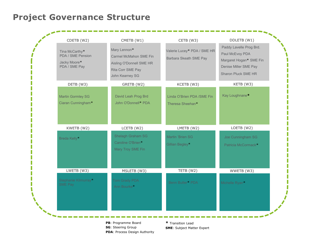## **Project Governance Structure**



**SG**: Steering Group **PDA**: Process Design Authority **SME**: Subject Matter Expert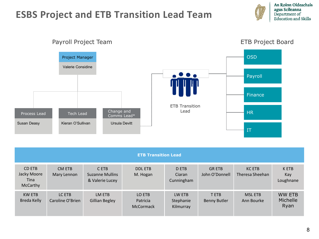## **ESBS Project and ETB Transition Lead Team**

An Roinn Oideachais agus Scileanna Department of<br>Education and Skills

#### **OSD** Project Manager Valerie Considine  $\bullet$  . Payroll Finance ETB Transition Lead Change and HR Process Lead Tech Lead Comms Lead\* Susan Deasy Kieran O'Sullivan Ursula Devitt IT

| <b>ETB Transition Lead</b>                       |                            |                                                    |                                        |                                  |                                    |                                  |                                   |
|--------------------------------------------------|----------------------------|----------------------------------------------------|----------------------------------------|----------------------------------|------------------------------------|----------------------------------|-----------------------------------|
| CD ETB<br>Jacky Moore<br>Tina<br><b>McCarthy</b> | CM ETB<br>Mary Lennon      | C ETB<br><b>Suzanne Mullins</b><br>& Valerie Lucey | <b>DDL ETB</b><br>M. Hogan             | D ETB<br>Ciaran<br>Cunningham    | <b>GRETB</b><br>John O'Donnell     | <b>KC ETB</b><br>Theresa Sheehan | K ETB<br>Kay<br>Loughnane         |
| <b>KW ETB</b><br>Breda Kelly                     | LC ETB<br>Caroline O'Brien | LM ETB<br><b>Gillian Begley</b>                    | LO ETB<br>Patricia<br><b>McCormack</b> | LW ETB<br>Stephanie<br>Kilmurray | <b>TETB</b><br><b>Benny Butler</b> | <b>MSL ETB</b><br>Ann Bourke     | <b>WW ETB</b><br>Michelle<br>Ryan |

### Payroll Project Team **ETB** Project Board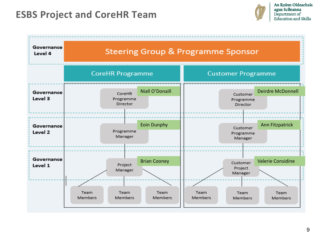## **ESBS Project and CoreHR Team**



| Governance<br>Level 4 | <b>Steering Group &amp; Programme Sponsor</b> |                     |                           |                                   |                          |
|-----------------------|-----------------------------------------------|---------------------|---------------------------|-----------------------------------|--------------------------|
|                       | <b>CoreHR Programme</b>                       |                     | <b>Customer Programme</b> |                                   |                          |
| Governance<br>Level 3 | CoreHR<br>Programme<br>Director               | Niall O'Donaill     |                           | Customer<br>Programme<br>Director | <b>Deirdre McDonnell</b> |
| Governance<br>Level 2 | Programme<br>Manager                          | <b>Eoin Dunphy</b>  |                           | Customer<br>Programme<br>Manager  | <b>Ann Fitzpatrick</b>   |
| Governance<br>Level 1 | Project<br>Manager                            | <b>Brian Cooney</b> |                           | Customer<br>Project<br>Manager    | <b>Valerie Considine</b> |
|                       | Team<br>Team<br>Members<br>Members            | Team<br>Members     | Team<br>Members           | Team<br><b>Members</b>            | Team<br>Members          |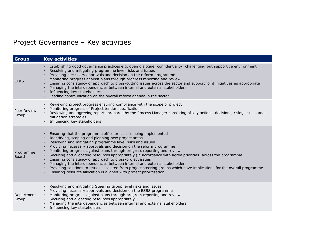## Project Governance – Key activities

| <b>Group</b>              | <b>Key activities</b>                                                                                                                                                                                                                                                                                                                                                                                                                                                                                                                                                                                                                                                                                                                                                                                     |
|---------------------------|-----------------------------------------------------------------------------------------------------------------------------------------------------------------------------------------------------------------------------------------------------------------------------------------------------------------------------------------------------------------------------------------------------------------------------------------------------------------------------------------------------------------------------------------------------------------------------------------------------------------------------------------------------------------------------------------------------------------------------------------------------------------------------------------------------------|
| <b>ETRB</b>               | Establishing good governance practices e.g. open dialogue; confidentiality; challenging but supportive environment<br>$\bullet$<br>Resolving and mitigating programme level risks and issues<br>Providing necessary approvals and decision on the reform programme<br>Monitoring progress against plans through progress reporting and review<br>Ensuring consistency of approach to cross-cutting issues across the sector and support joint initiatives as appropriate<br>Managing the interdependencies between internal and external stakeholders<br>Influencing key stakeholders<br>Leading communication on the overall reform agenda in the sector                                                                                                                                                 |
| Peer Review<br>Group      | Reviewing project progress ensuring compliance with the scope of project<br>$\bullet$<br>Monitoring progress of Project tender specifications<br>Reviewing and agreeing reports prepared by the Process Manager consisting of key actions, decisions, risks, issues, and<br>mitigation strategies.<br>Influencing key stakeholders                                                                                                                                                                                                                                                                                                                                                                                                                                                                        |
| Programme<br><b>Board</b> | Ensuring that the programme office process is being implemented<br>Identifying, scoping and planning new project areas<br>Resolving and mitigating programme level risks and issues<br>Providing necessary approvals and decision on the reform programme<br>Monitoring progress against plans through progress reporting and review<br>Securing and allocating resources appropriately (in accordance with agree priorities) across the programme<br>$\bullet$<br>Ensuring consistency of approach to cross-project issues<br>Managing the interdependencies between internal and external stakeholders<br>Providing solutions to issues escalated from project steering groups which have implications for the overall programme<br>Ensuring resource allocation is aligned with project prioritisation |
| Department<br>Group       | Resolving and mitigating Steering Group level risks and issues<br>$\bullet$<br>Providing necessary approvals and decision on the ESBS programme<br>Monitoring progress against plans through progress reporting and review<br>$\bullet$<br>Securing and allocating resources appropriately<br>Managing the interdependencies between internal and external stakeholders<br>Influencing key stakeholders<br>$\bullet$                                                                                                                                                                                                                                                                                                                                                                                      |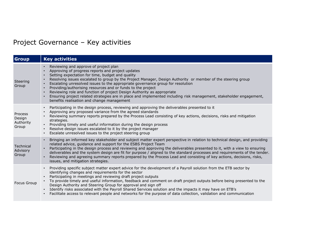## Project Governance – Key activities

| <b>Group</b>                                   | <b>Key activities</b>                                                                                                                                                                                                                                                                                                                                                                                                                                                                                                                                                                                                                                                                            |
|------------------------------------------------|--------------------------------------------------------------------------------------------------------------------------------------------------------------------------------------------------------------------------------------------------------------------------------------------------------------------------------------------------------------------------------------------------------------------------------------------------------------------------------------------------------------------------------------------------------------------------------------------------------------------------------------------------------------------------------------------------|
| Steering<br>Group                              | Reviewing and approve of project plan<br>Approving of progress reports and project updates<br>Setting expectation for time, budget and quality<br>Resolving issues escalated to group by the Project Manager, Design Authority or member of the steering group<br>Escalating unresolved issues to the appropriate governance group for resolution<br>Providing/authorising resources and or funds to the project<br>Reviewing role and function of project Design Authority as appropriate<br>Ensuring project related strategies are in place and implemented including risk management, stakeholder engagement,<br>benefits realisation and change management                                  |
| <b>Process</b><br>Design<br>Authority<br>Group | Participating in the design process, reviewing and approving the deliverables presented to it<br>Approving any proposed variance from the agreed standards<br>Reviewing summary reports prepared by the Process Lead consisting of key actions, decisions, risks and mitigation<br>strategies.<br>Providing timely and useful information during the design process<br>Resolve design issues escalated to it by the project manager<br>Escalate unresolved issues to the project steering group                                                                                                                                                                                                  |
| Technical<br>Advisory<br>Group                 | Bringing an informed key stakeholder and subject matter expert perspective in relation to technical design, and providing<br>$\bullet$<br>related advice, guidance and support for the ESBS Project Team<br>Participating in the design process and reviewing and approving the deliverables presented to it, with a view to ensuring<br>$\bullet$<br>deliverables and the system design are fit for purpose / aligned to the standard processes and requirements of the tender.<br>Reviewing and agreeing summary reports prepared by the Process Lead and consisting of key actions, decisions, risks,<br>issues, and mitigation strategies.                                                   |
| <b>Focus Group</b>                             | Providing specific subject matter expert advice for the development of a Payroll solution from the ETB sector by<br>$\bullet$<br>identifying changes and requirements for the sector<br>Participating in meetings and reviewing draft project outputs<br>$\bullet$<br>To provide timely and useful information, feedback and comment on draft project outputs before being presented to the<br>Design Authority and Steering Group for approval and sign off<br>• Identify risks associated with the Payroll Shared Services solution and the impacts it may have on ETB's<br>Facilitate access to relevant people and networks for the purpose of data collection, validation and communication |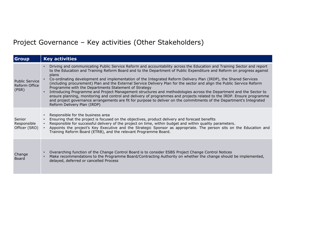## Project Governance – Key activities (Other Stakeholders)

| <b>Group</b>                                    | <b>Key activities</b>                                                                                                                                                                                                                                                                                                                                                                                                                                                                                                                                                                                                                                                                                                                                                                                                                                                                                                                                                           |
|-------------------------------------------------|---------------------------------------------------------------------------------------------------------------------------------------------------------------------------------------------------------------------------------------------------------------------------------------------------------------------------------------------------------------------------------------------------------------------------------------------------------------------------------------------------------------------------------------------------------------------------------------------------------------------------------------------------------------------------------------------------------------------------------------------------------------------------------------------------------------------------------------------------------------------------------------------------------------------------------------------------------------------------------|
| <b>Public Service</b><br>Reform Office<br>(PSR) | Driving and communicating Public Service Reform and accountability across the Education and Training Sector and report<br>$\bullet$<br>to the Education and Training Reform Board and to the Department of Public Expenditure and Reform on progress against<br>plans<br>Co-ordinating development and implementation of the Integrated Reform Delivery Plan (IRDP), the Shared Services<br>(including procurement) Plan and the External Service Delivery Plan for the sector and align the Public Service Reform<br>Programme with the Departments Statement of Strategy<br>Introducing Programme and Project Management structures and methodologies across the Department and the Sector to<br>ensure planning, monitoring and control and delivery of programmes and projects related to the IRDP. Ensure programme<br>and project governance arrangements are fit for purpose to deliver on the commitments of the Department's Integrated<br>Reform Delivery Plan (IRDP) |
| Senior<br>Responsible<br>Officer (SRO)          | Responsible for the business area<br>Ensuring that the project is focused on the objectives, product delivery and forecast benefits<br>Responsible for successful delivery of the project on time, within budget and within quality parameters.<br>Appoints the project's Key Executive and the Strategic Sponsor as appropriate. The person sits on the Education and<br>Training Reform Board (ETRB), and the relevant Programme Board.                                                                                                                                                                                                                                                                                                                                                                                                                                                                                                                                       |
| Change<br>Board                                 | Overarching function of the Change Control Board is to consider ESBS Project Change Control Notices<br>Make recommendations to the Programme Board/Contracting Authority on whether the change should be implemented,<br>delayed, deferred or cancelled Process                                                                                                                                                                                                                                                                                                                                                                                                                                                                                                                                                                                                                                                                                                                 |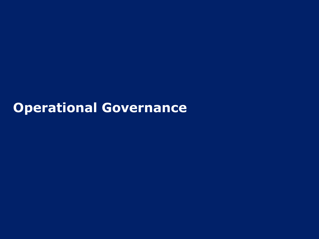**Operational Governance**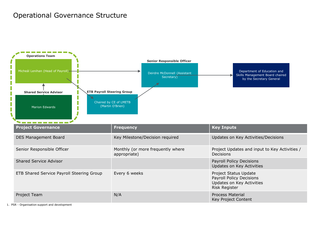### Operational Governance Structure



1. PSR - Organisation support and development